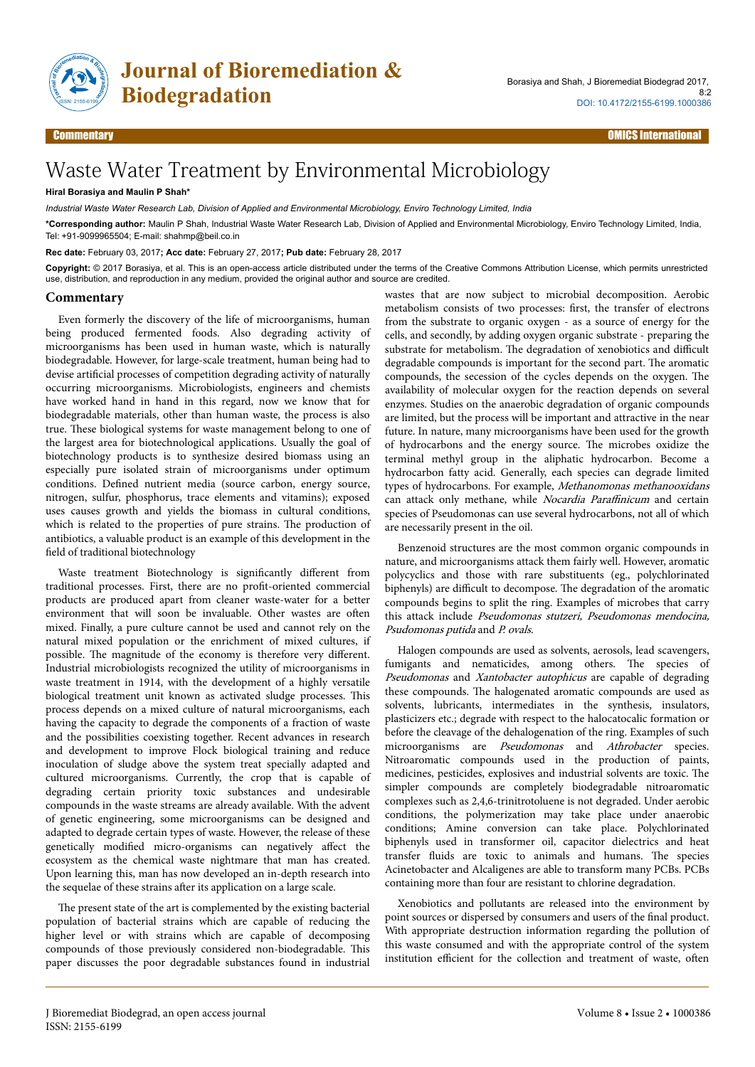

**Journal of Bioremediation & Biodegradation**

# Waste Water Treatment by Environmental Microbiology

## **Hiral Borasiya and Maulin P Shah\***

*Industrial Waste Water Research Lab, Division of Applied and Environmental Microbiology, Enviro Technology Limited, India*

**\*Corresponding author:** Maulin P Shah, Industrial Waste Water Research Lab, Division of Applied and Environmental Microbiology, Enviro Technology Limited, India, Tel: +91-9099965504; E-mail: shahmp@beil.co.in

**Rec date:** February 03, 2017**; Acc date:** February 27, 2017**; Pub date:** February 28, 2017

**Copyright:** © 2017 Borasiya, et al. This is an open-access article distributed under the terms of the Creative Commons Attribution License, which permits unrestricted use, distribution, and reproduction in any medium, provided the original author and source are credited.

#### **Commentary**

Even formerly the discovery of the life of microorganisms, human being produced fermented foods. Also degrading activity of microorganisms has been used in human waste, which is naturally biodegradable. However, for large-scale treatment, human being had to devise artificial processes of competition degrading activity of naturally occurring microorganisms. Microbiologists, engineers and chemists have worked hand in hand in this regard, now we know that for biodegradable materials, other than human waste, the process is also true. Нese biological systems for waste management belong to one of the largest area for biotechnological applications. Usually the goal of biotechnology products is to synthesize desired biomass using an especially pure isolated strain of microorganisms under optimum conditions. Defined nutrient media (source carbon, energy source, nitrogen, sulfur, phosphorus, trace elements and vitamins); exposed uses causes growth and yields the biomass in cultural conditions, which is related to the properties of pure strains. Нe production of antibiotics, a valuable product is an example of this development in the field of traditional biotechnology

Waste treatment Biotechnology is significantly different from traditional processes. First, there are no profit-oriented commercial products are produced apart from cleaner waste-water for a better environment that will soon be invaluable. Other wastes are often mixed. Finally, a pure culture cannot be used and cannot rely on the natural mixed population or the enrichment of mixed cultures, if possible. The magnitude of the economy is therefore very different. Industrial microbiologists recognized the utility of microorganisms in waste treatment in 1914, with the development of a highly versatile biological treatment unit known as activated sludge processes. This process depends on a mixed culture of natural microorganisms, each having the capacity to degrade the components of a fraction of waste and the possibilities coexisting together. Recent advances in research and development to improve Flock biological training and reduce inoculation of sludge above the system treat specially adapted and cultured microorganisms. Currently, the crop that is capable of degrading certain priority toxic substances and undesirable compounds in the waste streams are already available. With the advent of genetic engineering, some microorganisms can be designed and adapted to degrade certain types of waste. However, the release of these genetically modified micro-organisms can negatively affect the ecosystem as the chemical waste nightmare that man has created. Upon learning this, man has now developed an in-depth research into the sequelae of these strains after its application on a large scale.

The present state of the art is complemented by the existing bacterial population of bacterial strains which are capable of reducing the higher level or with strains which are capable of decomposing compounds of those previously considered non-biodegradable. This paper discusses the poor degradable substances found in industrial

wastes that are now subject to microbial decomposition. Aerobic metabolism consists of two processes: first, the transfer of electrons from the substrate to organic oxygen - as a source of energy for the cells, and secondly, by adding oxygen organic substrate - preparing the substrate for metabolism. The degradation of xenobiotics and difficult degradable compounds is important for the second part. Нe aromatic compounds, the secession of the cycles depends on the oxygen. Нe availability of molecular oxygen for the reaction depends on several enzymes. Studies on the anaerobic degradation of organic compounds are limited, but the process will be important and attractive in the near future. In nature, many microorganisms have been used for the growth of hydrocarbons and the energy source. Нe microbes oxidize the terminal methyl group in the aliphatic hydrocarbon. Become a hydrocarbon fatty acid. Generally, each species can degrade limited types of hydrocarbons. For example, Methanomonas methanooxidans can attack only methane, while *Nocardia Paraffinicum* and certain species of Pseudomonas can use several hydrocarbons, not all of which are necessarily present in the oil.

Benzenoid structures are the most common organic compounds in nature, and microorganisms attack them fairly well. However, aromatic polycyclics and those with rare substituents (eg., polychlorinated biphenyls) are difficult to decompose. The degradation of the aromatic compounds begins to split the ring. Examples of microbes that carry this attack include Pseudomonas stutzeri, Pseudomonas mendocina, Psudomonas putida and P. ovals.

Halogen compounds are used as solvents, aerosols, lead scavengers, fumigants and nematicides, among others. The species of Pseudomonas and Xantobacter autophicus are capable of degrading these compounds. Нe halogenated aromatic compounds are used as solvents, lubricants, intermediates in the synthesis, insulators, plasticizers etc.; degrade with respect to the halocatocalic formation or before the cleavage of the dehalogenation of the ring. Examples of such microorganisms are *Pseudomonas* and Athrobacter species. Nitroaromatic compounds used in the production of paints, medicines, pesticides, explosives and industrial solvents are toxic. Нe simpler compounds are completely biodegradable nitroaromatic complexes such as 2,4,6-trinitrotoluene is not degraded. Under aerobic conditions, the polymerization may take place under anaerobic conditions; Amine conversion can take place. Polychlorinated biphenyls used in transformer oil, capacitor dielectrics and heat transfer fluids are toxic to animals and humans. The species Acinetobacter and Alcaligenes are able to transform many PCBs. PCBs containing more than four are resistant to chlorine degradation.

Xenobiotics and pollutants are released into the environment by point sources or dispersed by consumers and users of the final product. With appropriate destruction information regarding the pollution of this waste consumed and with the appropriate control of the system institution efficient for the collection and treatment of waste, often